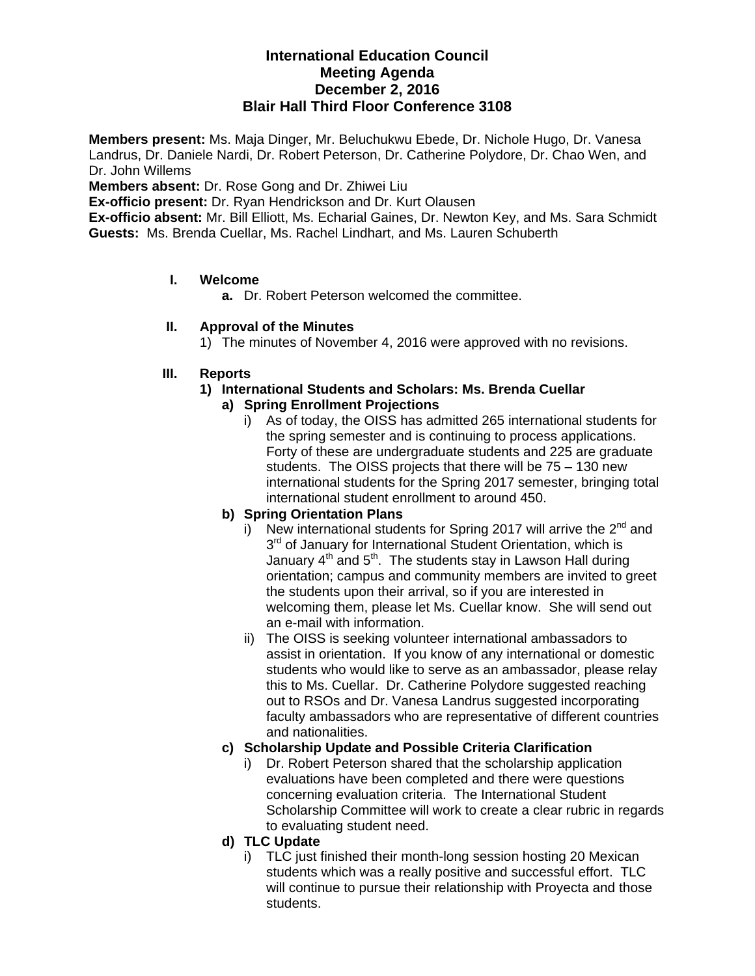# **International Education Council Meeting Agenda December 2, 2016 Blair Hall Third Floor Conference 3108**

**Members present:** Ms. Maja Dinger, Mr. Beluchukwu Ebede, Dr. Nichole Hugo, Dr. Vanesa Landrus, Dr. Daniele Nardi, Dr. Robert Peterson, Dr. Catherine Polydore, Dr. Chao Wen, and Dr. John Willems

**Members absent:** Dr. Rose Gong and Dr. Zhiwei Liu

**Ex-officio present:** Dr. Ryan Hendrickson and Dr. Kurt Olausen

**Ex-officio absent:** Mr. Bill Elliott, Ms. Echarial Gaines, Dr. Newton Key, and Ms. Sara Schmidt **Guests:** Ms. Brenda Cuellar, Ms. Rachel Lindhart, and Ms. Lauren Schuberth

### **I. Welcome**

**a.** Dr. Robert Peterson welcomed the committee.

### **II. Approval of the Minutes**

1) The minutes of November 4, 2016 were approved with no revisions.

#### **III. Reports**

- **1) International Students and Scholars: Ms. Brenda Cuellar a) Spring Enrollment Projections** 
	- - i) As of today, the OISS has admitted 265 international students for the spring semester and is continuing to process applications. Forty of these are undergraduate students and 225 are graduate students. The OISS projects that there will be 75 – 130 new international students for the Spring 2017 semester, bringing total international student enrollment to around 450.

### **b) Spring Orientation Plans**

- i) New international students for Spring 2017 will arrive the  $2^{nd}$  and 3<sup>rd</sup> of January for International Student Orientation, which is January  $4<sup>th</sup>$  and  $5<sup>th</sup>$ . The students stay in Lawson Hall during orientation; campus and community members are invited to greet the students upon their arrival, so if you are interested in welcoming them, please let Ms. Cuellar know. She will send out an e-mail with information.
- ii) The OISS is seeking volunteer international ambassadors to assist in orientation. If you know of any international or domestic students who would like to serve as an ambassador, please relay this to Ms. Cuellar. Dr. Catherine Polydore suggested reaching out to RSOs and Dr. Vanesa Landrus suggested incorporating faculty ambassadors who are representative of different countries and nationalities.

### **c) Scholarship Update and Possible Criteria Clarification**

- i) Dr. Robert Peterson shared that the scholarship application evaluations have been completed and there were questions concerning evaluation criteria. The International Student Scholarship Committee will work to create a clear rubric in regards to evaluating student need.
- **d) TLC Update** 
	- i) TLC just finished their month-long session hosting 20 Mexican students which was a really positive and successful effort. TLC will continue to pursue their relationship with Proyecta and those students.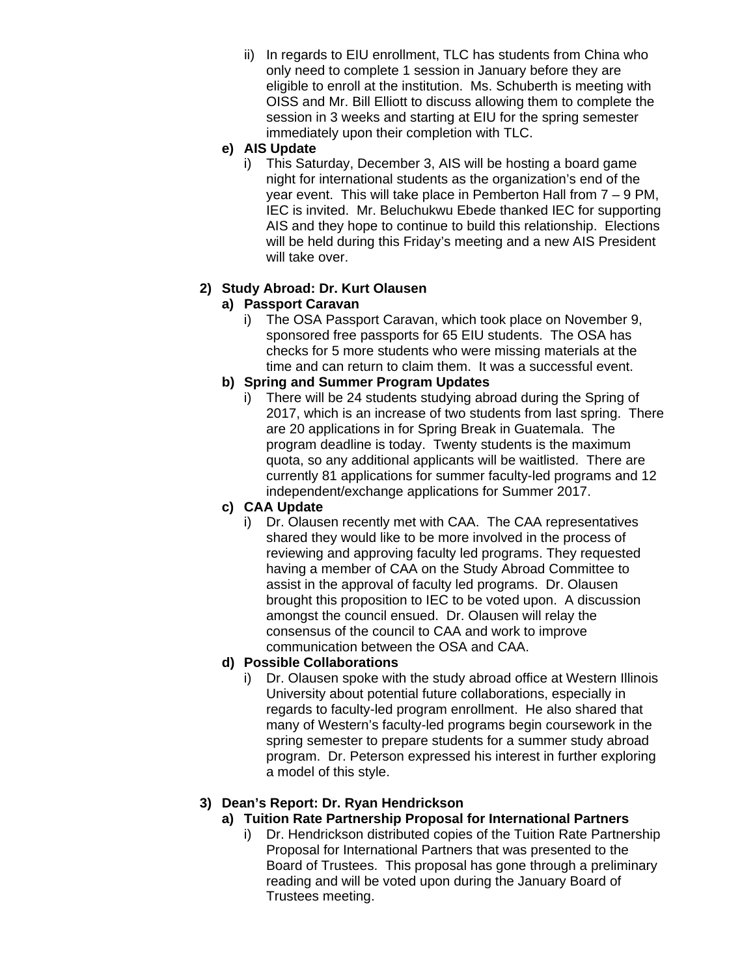- ii) In regards to EIU enrollment, TLC has students from China who only need to complete 1 session in January before they are eligible to enroll at the institution. Ms. Schuberth is meeting with OISS and Mr. Bill Elliott to discuss allowing them to complete the session in 3 weeks and starting at EIU for the spring semester immediately upon their completion with TLC.
- **e) AIS Update** 
	- i) This Saturday, December 3, AIS will be hosting a board game night for international students as the organization's end of the year event. This will take place in Pemberton Hall from 7 – 9 PM, IEC is invited. Mr. Beluchukwu Ebede thanked IEC for supporting AIS and they hope to continue to build this relationship. Elections will be held during this Friday's meeting and a new AIS President will take over.

# **2) Study Abroad: Dr. Kurt Olausen**

## **a) Passport Caravan**

i) The OSA Passport Caravan, which took place on November 9, sponsored free passports for 65 EIU students. The OSA has checks for 5 more students who were missing materials at the time and can return to claim them. It was a successful event.

## **b) Spring and Summer Program Updates**

i) There will be 24 students studying abroad during the Spring of 2017, which is an increase of two students from last spring. There are 20 applications in for Spring Break in Guatemala. The program deadline is today. Twenty students is the maximum quota, so any additional applicants will be waitlisted. There are currently 81 applications for summer faculty-led programs and 12 independent/exchange applications for Summer 2017.

# **c) CAA Update**

i) Dr. Olausen recently met with CAA. The CAA representatives shared they would like to be more involved in the process of reviewing and approving faculty led programs. They requested having a member of CAA on the Study Abroad Committee to assist in the approval of faculty led programs. Dr. Olausen brought this proposition to IEC to be voted upon. A discussion amongst the council ensued. Dr. Olausen will relay the consensus of the council to CAA and work to improve communication between the OSA and CAA.

# **d) Possible Collaborations**

i) Dr. Olausen spoke with the study abroad office at Western Illinois University about potential future collaborations, especially in regards to faculty-led program enrollment. He also shared that many of Western's faculty-led programs begin coursework in the spring semester to prepare students for a summer study abroad program. Dr. Peterson expressed his interest in further exploring a model of this style.

# **3) Dean's Report: Dr. Ryan Hendrickson**

- **a) Tuition Rate Partnership Proposal for International Partners** 
	- i) Dr. Hendrickson distributed copies of the Tuition Rate Partnership Proposal for International Partners that was presented to the Board of Trustees. This proposal has gone through a preliminary reading and will be voted upon during the January Board of Trustees meeting.